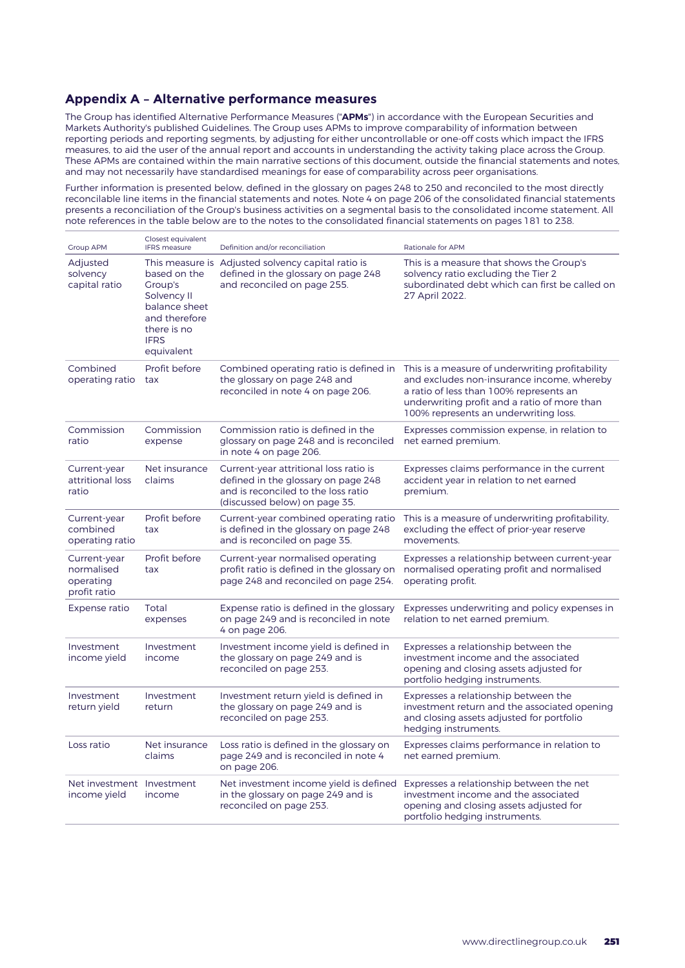#### **Appendix A – Alternative performance measures**

The Group has identified Alternative Performance Measures ("**APMs**") in accordance with the European Securities and Markets Authority's published Guidelines. The Group uses APMs to improve comparability of information between reporting periods and reporting segments, by adjusting for either uncontrollable or one-off costs which impact the IFRS measures, to aid the user of the annual report and accounts in understanding the activity taking place across the Group. These APMs are contained within the main narrative sections of this document, outside the financial statements and notes, and may not necessarily have standardised meanings for ease of comparability across peer organisations.

Further information is presented below, defined in the glossary on pages 248 to 250 and reconciled to the most directly reconcilable line items in the financial statements and notes. Note 4 on page 206 of the consolidated financial statements presents a reconciliation of the Group's business activities on a segmental basis to the consolidated income statement. All note references in the table below are to the notes to the consolidated financial statements on pages 181 to 238.

| <b>Group APM</b>                                        | Closest equivalent<br><b>IFRS</b> measure                                                                            | Definition and/or reconciliation                                                                                                                      | <b>Rationale for APM</b>                                                                                                                                                                                                          |
|---------------------------------------------------------|----------------------------------------------------------------------------------------------------------------------|-------------------------------------------------------------------------------------------------------------------------------------------------------|-----------------------------------------------------------------------------------------------------------------------------------------------------------------------------------------------------------------------------------|
| Adjusted<br>solvency<br>capital ratio                   | based on the<br>Group's<br>Solvency II<br>balance sheet<br>and therefore<br>there is no<br><b>IFRS</b><br>equivalent | This measure is Adjusted solvency capital ratio is<br>defined in the glossary on page 248<br>and reconciled on page 255.                              | This is a measure that shows the Group's<br>solvency ratio excluding the Tier 2<br>subordinated debt which can first be called on<br>27 April 2022.                                                                               |
| Combined<br>operating ratio                             | Profit before<br>tax                                                                                                 | Combined operating ratio is defined in<br>the glossary on page 248 and<br>reconciled in note 4 on page 206.                                           | This is a measure of underwriting profitability<br>and excludes non-insurance income, whereby<br>a ratio of less than 100% represents an<br>underwriting profit and a ratio of more than<br>100% represents an underwriting loss. |
| Commission<br>ratio                                     | Commission<br>expense                                                                                                | Commission ratio is defined in the<br>glossary on page 248 and is reconciled<br>in note 4 on page 206.                                                | Expresses commission expense, in relation to<br>net earned premium.                                                                                                                                                               |
| Current-year<br>attritional loss<br>ratio               | Net insurance<br>claims                                                                                              | Current-year attritional loss ratio is<br>defined in the glossary on page 248<br>and is reconciled to the loss ratio<br>(discussed below) on page 35. | Expresses claims performance in the current<br>accident year in relation to net earned<br>premium.                                                                                                                                |
| Current-year<br>combined<br>operating ratio             | Profit before<br>tax                                                                                                 | Current-year combined operating ratio<br>is defined in the glossary on page 248<br>and is reconciled on page 35.                                      | This is a measure of underwriting profitability,<br>excluding the effect of prior-year reserve<br>movements.                                                                                                                      |
| Current-year<br>normalised<br>operating<br>profit ratio | Profit before<br>tax                                                                                                 | Current-year normalised operating<br>profit ratio is defined in the glossary on<br>page 248 and reconciled on page 254.                               | Expresses a relationship between current-year<br>normalised operating profit and normalised<br>operating profit.                                                                                                                  |
| Expense ratio                                           | Total<br>expenses                                                                                                    | Expense ratio is defined in the glossary<br>on page 249 and is reconciled in note<br>4 on page 206.                                                   | Expresses underwriting and policy expenses in<br>relation to net earned premium.                                                                                                                                                  |
| Investment<br>income yield                              | Investment<br>income                                                                                                 | Investment income yield is defined in<br>the glossary on page 249 and is<br>reconciled on page 253.                                                   | Expresses a relationship between the<br>investment income and the associated<br>opening and closing assets adjusted for<br>portfolio hedging instruments.                                                                         |
| Investment<br>return yield                              | Investment<br>return                                                                                                 | Investment return yield is defined in<br>the glossary on page 249 and is<br>reconciled on page 253.                                                   | Expresses a relationship between the<br>investment return and the associated opening<br>and closing assets adjusted for portfolio<br>hedging instruments.                                                                         |
| Loss ratio                                              | Net insurance<br>claims                                                                                              | Loss ratio is defined in the glossary on<br>page 249 and is reconciled in note 4<br>on page 206.                                                      | Expresses claims performance in relation to<br>net earned premium.                                                                                                                                                                |
| Net investment Investment<br>income yield               | income                                                                                                               | Net investment income yield is defined<br>in the glossary on page 249 and is<br>reconciled on page 253.                                               | Expresses a relationship between the net<br>investment income and the associated<br>opening and closing assets adjusted for<br>portfolio hedging instruments.                                                                     |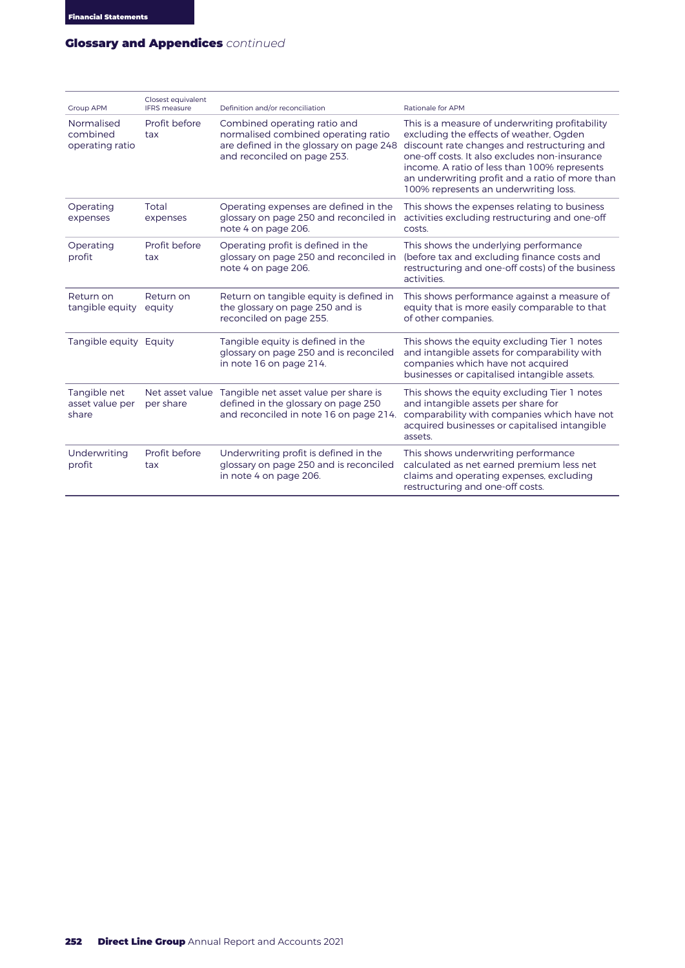### **GLOSSARY AND APPENDICES – CONTINUED** Glossary and Appendices *continued*

| <b>Group APM</b>                          | Closest equivalent<br><b>IFRS</b> measure | Definition and/or reconciliation                                                                                                              | Rationale for APM                                                                                                                                                                                                                                                                                                                      |
|-------------------------------------------|-------------------------------------------|-----------------------------------------------------------------------------------------------------------------------------------------------|----------------------------------------------------------------------------------------------------------------------------------------------------------------------------------------------------------------------------------------------------------------------------------------------------------------------------------------|
| Normalised<br>combined<br>operating ratio | Profit before<br>tax                      | Combined operating ratio and<br>normalised combined operating ratio<br>are defined in the glossary on page 248<br>and reconciled on page 253. | This is a measure of underwriting profitability<br>excluding the effects of weather, Ogden<br>discount rate changes and restructuring and<br>one-off costs. It also excludes non-insurance<br>income. A ratio of less than 100% represents<br>an underwriting profit and a ratio of more than<br>100% represents an underwriting loss. |
| Operating<br>expenses                     | Total<br>expenses                         | Operating expenses are defined in the<br>glossary on page 250 and reconciled in<br>note 4 on page 206.                                        | This shows the expenses relating to business<br>activities excluding restructuring and one-off<br>costs.                                                                                                                                                                                                                               |
| Operating<br>profit                       | Profit before<br>tax                      | Operating profit is defined in the<br>glossary on page 250 and reconciled in<br>note 4 on page 206.                                           | This shows the underlying performance<br>(before tax and excluding finance costs and<br>restructuring and one-off costs) of the business<br>activities.                                                                                                                                                                                |
| Return on<br>tangible equity              | Return on<br>equity                       | Return on tangible equity is defined in<br>the glossary on page 250 and is<br>reconciled on page 255.                                         | This shows performance against a measure of<br>equity that is more easily comparable to that<br>of other companies.                                                                                                                                                                                                                    |
| Tangible equity Equity                    |                                           | Tangible equity is defined in the<br>glossary on page 250 and is reconciled<br>in note 16 on page 214.                                        | This shows the equity excluding Tier 1 notes<br>and intangible assets for comparability with<br>companies which have not acquired<br>businesses or capitalised intangible assets.                                                                                                                                                      |
| Tangible net<br>asset value per<br>share  | Net asset value<br>per share              | Tangible net asset value per share is<br>defined in the glossary on page 250<br>and reconciled in note 16 on page 214.                        | This shows the equity excluding Tier 1 notes<br>and intangible assets per share for<br>comparability with companies which have not<br>acquired businesses or capitalised intangible<br>assets.                                                                                                                                         |
| Underwriting<br>profit                    | Profit before<br>tax                      | Underwriting profit is defined in the<br>glossary on page 250 and is reconciled<br>in note 4 on page 206.                                     | This shows underwriting performance<br>calculated as net earned premium less net<br>claims and operating expenses, excluding<br>restructuring and one-off costs.                                                                                                                                                                       |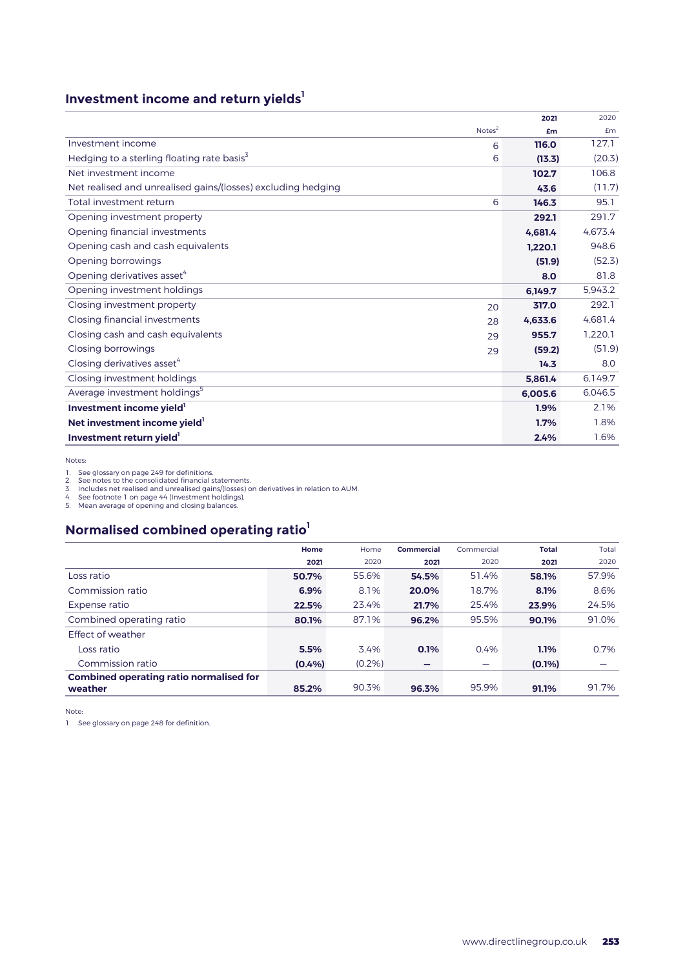## **Investment income and return yields**<sup>1</sup>

|                                                              | 2021    | 2020    |
|--------------------------------------------------------------|---------|---------|
| Note <sup>2</sup>                                            | £m      | Em      |
| Investment income<br>6                                       | 116.0   | 127.1   |
| Hedging to a sterling floating rate basis <sup>3</sup><br>6  | (13.3)  | (20.3)  |
| Net investment income                                        | 102.7   | 106.8   |
| Net realised and unrealised gains/(losses) excluding hedging | 43.6    | (11.7)  |
| Total investment return<br>6                                 | 146.3   | 95.1    |
| Opening investment property                                  | 292.1   | 291.7   |
| Opening financial investments                                | 4.681.4 | 4.673.4 |
| Opening cash and cash equivalents                            | 1,220.1 | 948.6   |
| Opening borrowings                                           | (51.9)  | (52.3)  |
| Opening derivatives asset <sup>4</sup>                       | 8.0     | 81.8    |
| Opening investment holdings                                  | 6.149.7 | 5.943.2 |
| Closing investment property<br>20                            | 317.0   | 292.1   |
| Closing financial investments<br>28                          | 4,633.6 | 4.681.4 |
| Closing cash and cash equivalents<br>29                      | 955.7   | 1.220.1 |
| Closing borrowings<br>29                                     | (59.2)  | (51.9)  |
| Closing derivatives asset <sup>4</sup>                       | 14.3    | 8.0     |
| Closing investment holdings                                  | 5.861.4 | 6.149.7 |
| Average investment holdings <sup>5</sup>                     | 6.005.6 | 6.046.5 |
| Investment income yield                                      | 1.9%    | 2.1%    |
| Net investment income yield <sup>1</sup>                     | 1.7%    | 1.8%    |
| Investment return yield                                      | 2.4%    | 1.6%    |

Notes:

1. See glossary on page 249 for definitions.<br>2. See notes to the consolidated financial statements.<br>3. Includes net realised and unrealised gains/(losses) on derivatives in relation to AUM.<br>4. See footnote 1 on page 44 (In

# **Normalised combined operating ratio1**

|                                                | Home  | Home      | Commercial | Commercial | <b>Total</b> | Total |
|------------------------------------------------|-------|-----------|------------|------------|--------------|-------|
|                                                | 2021  | 2020      | 2021       | 2020       | 2021         | 2020  |
| Loss ratio                                     | 50.7% | 55.6%     | 54.5%      | 51.4%      | 58.1%        | 57.9% |
| Commission ratio                               | 6.9%  | 8.1%      | 20.0%      | 18.7%      | 8.1%         | 8.6%  |
| Expense ratio                                  | 22.5% | 23.4%     | 21.7%      | 25.4%      | 23.9%        | 24.5% |
| Combined operating ratio                       | 80.1% | 87.1%     | 96.2%      | 95.5%      | 90.1%        | 91.0% |
| Effect of weather                              |       |           |            |            |              |       |
| Loss ratio                                     | 5.5%  | 3.4%      | 0.1%       | 0.4%       | 1.1%         | 0.7%  |
| Commission ratio                               | (0.4% | $(0.2\%)$ | -          |            | $(0.1\%)$    |       |
| <b>Combined operating ratio normalised for</b> |       |           |            |            |              |       |
| weather                                        | 85.2% | 90.3%     | 96.3%      | 95.9%      | 91.1%        | 91.7% |

Note:

1. See glossary on page 248 for definition.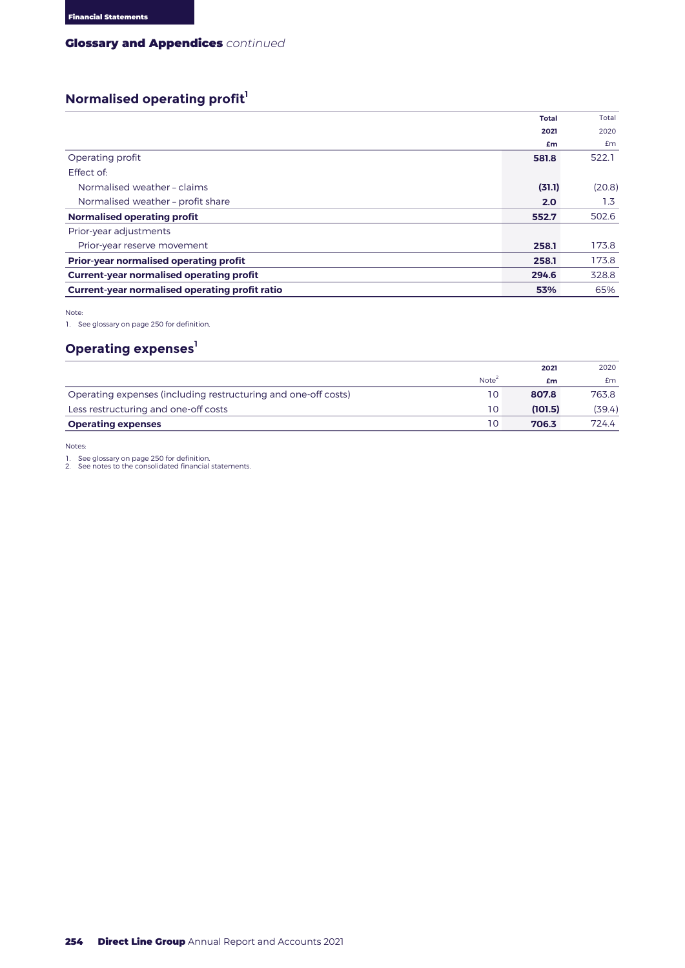#### **GLOSSARY AND APPENDICES – CONTINUED** Glossary and Appendices *continued*

## **Normalised operating profit**<sup>1</sup>

|                                                       | <b>Total</b> | Total  |
|-------------------------------------------------------|--------------|--------|
|                                                       | 2021         | 2020   |
|                                                       | £m           | £m     |
| Operating profit                                      | 581.8        | 522.1  |
| Effect of:                                            |              |        |
| Normalised weather - claims                           | (31.1)       | (20.8) |
| Normalised weather - profit share                     | 2.0          | 1.3    |
| <b>Normalised operating profit</b>                    | 552.7        | 502.6  |
| Prior-year adjustments                                |              |        |
| Prior-year reserve movement                           | 258.1        | 173.8  |
| <b>Prior-year normalised operating profit</b>         | 258.1        | 173.8  |
| <b>Current-year normalised operating profit</b>       | 294.6        | 328.8  |
| <b>Current-year normalised operating profit ratio</b> | 53%          | 65%    |

Note:

1. See glossary on page 250 for definition.

### **Operating expenses**<sup>1</sup>

|                                                                |                   | 2021    | 2020   |
|----------------------------------------------------------------|-------------------|---------|--------|
|                                                                | Note <sup>4</sup> | £m      | £m     |
| Operating expenses (including restructuring and one-off costs) | 10                | 807.8   | 763.8  |
| Less restructuring and one-off costs                           | 10                | (101.5) | (39.4) |
| <b>Operating expenses</b>                                      | 10                | 706.3   | 724.4  |

Notes:

1. See glossary on page 250 for definition. 2. See notes to the consolidated financial statements.